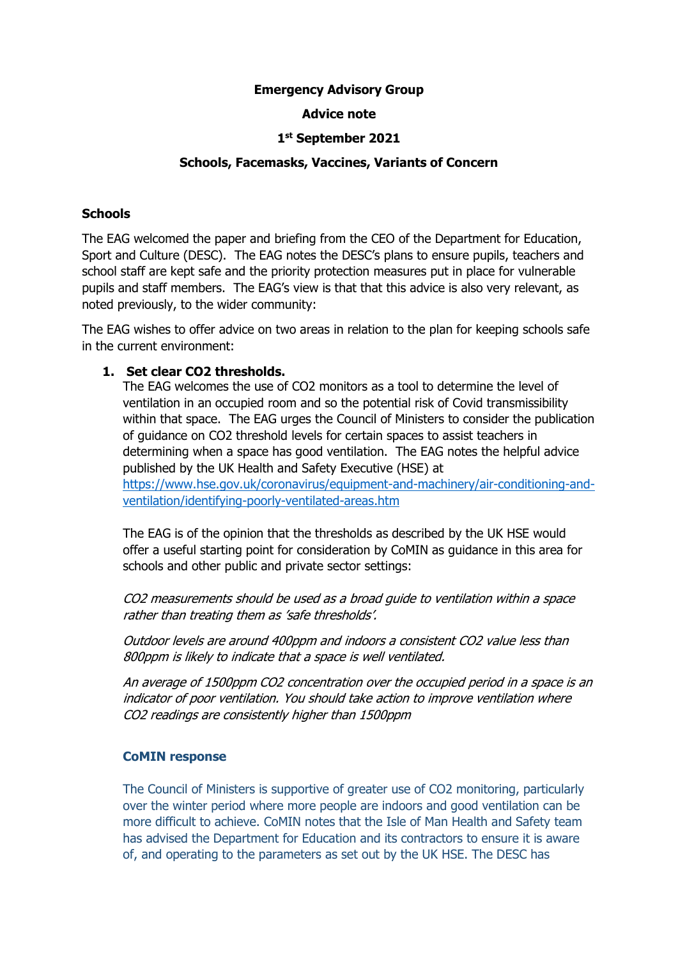## **Emergency Advisory Group**

# **Advice note**

# **1 st September 2021**

## **Schools, Facemasks, Vaccines, Variants of Concern**

#### **Schools**

The EAG welcomed the paper and briefing from the CEO of the Department for Education, Sport and Culture (DESC). The EAG notes the DESC's plans to ensure pupils, teachers and school staff are kept safe and the priority protection measures put in place for vulnerable pupils and staff members. The EAG's view is that that this advice is also very relevant, as noted previously, to the wider community:

The EAG wishes to offer advice on two areas in relation to the plan for keeping schools safe in the current environment:

## **1. Set clear CO2 thresholds.**

The EAG welcomes the use of CO2 monitors as a tool to determine the level of ventilation in an occupied room and so the potential risk of Covid transmissibility within that space. The EAG urges the Council of Ministers to consider the publication of guidance on CO2 threshold levels for certain spaces to assist teachers in determining when a space has good ventilation. The EAG notes the helpful advice published by the UK Health and Safety Executive (HSE) at [https://www.hse.gov.uk/coronavirus/equipment-and-machinery/air-conditioning-and](https://www.hse.gov.uk/coronavirus/equipment-and-machinery/air-conditioning-and-ventilation/identifying-poorly-ventilated-areas.htm)[ventilation/identifying-poorly-ventilated-areas.htm](https://www.hse.gov.uk/coronavirus/equipment-and-machinery/air-conditioning-and-ventilation/identifying-poorly-ventilated-areas.htm) 

The EAG is of the opinion that the thresholds as described by the UK HSE would offer a useful starting point for consideration by CoMIN as guidance in this area for schools and other public and private sector settings:

CO2 measurements should be used as a broad guide to ventilation within a space rather than treating them as 'safe thresholds'.

Outdoor levels are around 400ppm and indoors a consistent CO2 value less than 800ppm is likely to indicate that a space is well ventilated.

An average of 1500ppm CO2 concentration over the occupied period in a space is an indicator of poor ventilation. You should take action to improve ventilation where CO2 readings are consistently higher than 1500ppm

#### **CoMIN response**

The Council of Ministers is supportive of greater use of CO2 monitoring, particularly over the winter period where more people are indoors and good ventilation can be more difficult to achieve. CoMIN notes that the Isle of Man Health and Safety team has advised the Department for Education and its contractors to ensure it is aware of, and operating to the parameters as set out by the UK HSE. The DESC has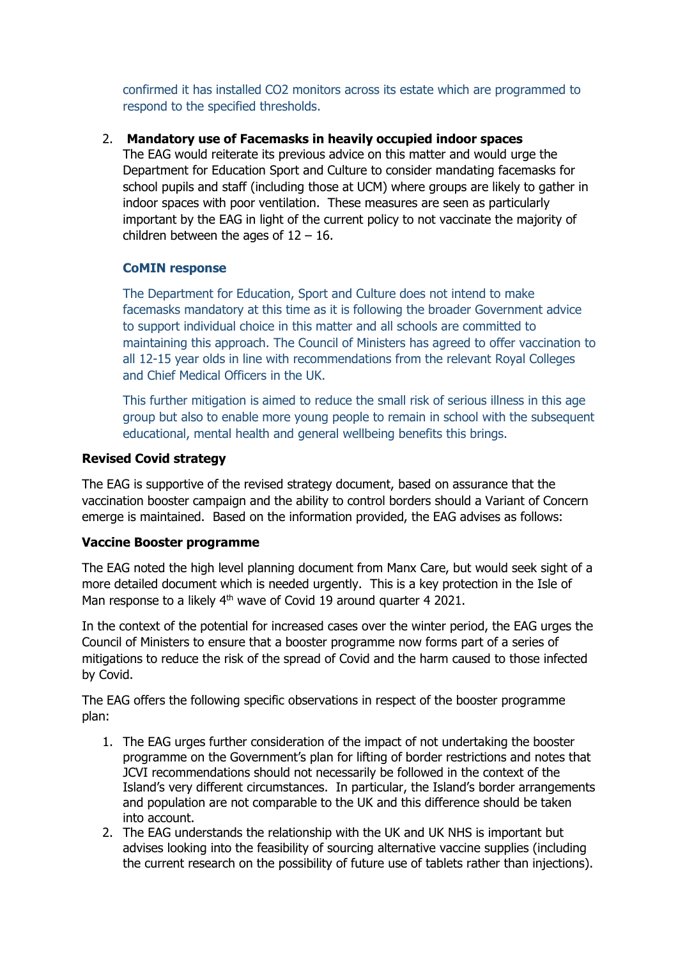confirmed it has installed CO2 monitors across its estate which are programmed to respond to the specified thresholds.

# 2. **Mandatory use of Facemasks in heavily occupied indoor spaces**

The EAG would reiterate its previous advice on this matter and would urge the Department for Education Sport and Culture to consider mandating facemasks for school pupils and staff (including those at UCM) where groups are likely to gather in indoor spaces with poor ventilation. These measures are seen as particularly important by the EAG in light of the current policy to not vaccinate the majority of children between the ages of  $12 - 16$ .

# **CoMIN response**

The Department for Education, Sport and Culture does not intend to make facemasks mandatory at this time as it is following the broader Government advice to support individual choice in this matter and all schools are committed to maintaining this approach. The Council of Ministers has agreed to offer vaccination to all 12-15 year olds in line with recommendations from the relevant Royal Colleges and Chief Medical Officers in the UK.

This further mitigation is aimed to reduce the small risk of serious illness in this age group but also to enable more young people to remain in school with the subsequent educational, mental health and general wellbeing benefits this brings.

# **Revised Covid strategy**

The EAG is supportive of the revised strategy document, based on assurance that the vaccination booster campaign and the ability to control borders should a Variant of Concern emerge is maintained. Based on the information provided, the EAG advises as follows:

# **Vaccine Booster programme**

The EAG noted the high level planning document from Manx Care, but would seek sight of a more detailed document which is needed urgently. This is a key protection in the Isle of Man response to a likely 4<sup>th</sup> wave of Covid 19 around quarter 4 2021.

In the context of the potential for increased cases over the winter period, the EAG urges the Council of Ministers to ensure that a booster programme now forms part of a series of mitigations to reduce the risk of the spread of Covid and the harm caused to those infected by Covid.

The EAG offers the following specific observations in respect of the booster programme plan:

- 1. The EAG urges further consideration of the impact of not undertaking the booster programme on the Government's plan for lifting of border restrictions and notes that JCVI recommendations should not necessarily be followed in the context of the Island's very different circumstances. In particular, the Island's border arrangements and population are not comparable to the UK and this difference should be taken into account.
- 2. The EAG understands the relationship with the UK and UK NHS is important but advises looking into the feasibility of sourcing alternative vaccine supplies (including the current research on the possibility of future use of tablets rather than injections).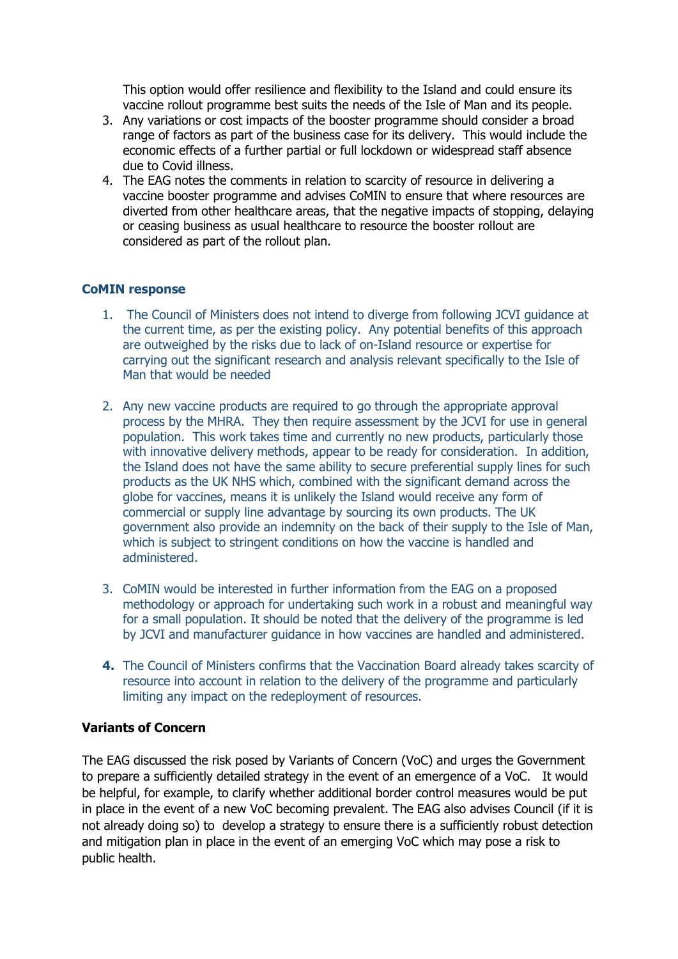This option would offer resilience and flexibility to the Island and could ensure its vaccine rollout programme best suits the needs of the Isle of Man and its people.

- 3. Any variations or cost impacts of the booster programme should consider a broad range of factors as part of the business case for its delivery. This would include the economic effects of a further partial or full lockdown or widespread staff absence due to Covid illness.
- 4. The EAG notes the comments in relation to scarcity of resource in delivering a vaccine booster programme and advises CoMIN to ensure that where resources are diverted from other healthcare areas, that the negative impacts of stopping, delaying or ceasing business as usual healthcare to resource the booster rollout are considered as part of the rollout plan.

## **CoMIN response**

- 1. The Council of Ministers does not intend to diverge from following JCVI guidance at the current time, as per the existing policy. Any potential benefits of this approach are outweighed by the risks due to lack of on-Island resource or expertise for carrying out the significant research and analysis relevant specifically to the Isle of Man that would be needed
- 2. Any new vaccine products are required to go through the appropriate approval process by the MHRA. They then require assessment by the JCVI for use in general population. This work takes time and currently no new products, particularly those with innovative delivery methods, appear to be ready for consideration. In addition, the Island does not have the same ability to secure preferential supply lines for such products as the UK NHS which, combined with the significant demand across the globe for vaccines, means it is unlikely the Island would receive any form of commercial or supply line advantage by sourcing its own products. The UK government also provide an indemnity on the back of their supply to the Isle of Man, which is subject to stringent conditions on how the vaccine is handled and administered.
- 3. CoMIN would be interested in further information from the EAG on a proposed methodology or approach for undertaking such work in a robust and meaningful way for a small population. It should be noted that the delivery of the programme is led by JCVI and manufacturer guidance in how vaccines are handled and administered.
- **4.** The Council of Ministers confirms that the Vaccination Board already takes scarcity of resource into account in relation to the delivery of the programme and particularly limiting any impact on the redeployment of resources.

#### **Variants of Concern**

The EAG discussed the risk posed by Variants of Concern (VoC) and urges the Government to prepare a sufficiently detailed strategy in the event of an emergence of a VoC. It would be helpful, for example, to clarify whether additional border control measures would be put in place in the event of a new VoC becoming prevalent. The EAG also advises Council (if it is not already doing so) to develop a strategy to ensure there is a sufficiently robust detection and mitigation plan in place in the event of an emerging VoC which may pose a risk to public health.